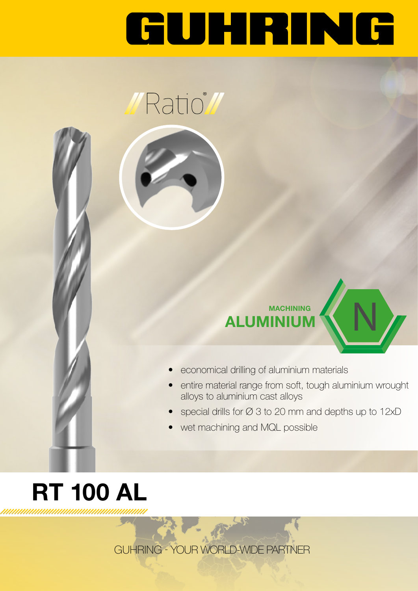# GUHRING





N

- economical drilling of aluminium materials
- entire material range from soft, tough aluminium wrought alloys to aluminium cast alloys
- special drills for Ø 3 to 20 mm and depths up to 12xD
- wet machining and MQL possible

### RT 100 AL ,,,,,,,,,,,,,,,,,,,,,,,,,,,,,,,

GUHRING - YOUR WORLD-WIDE PARTNER